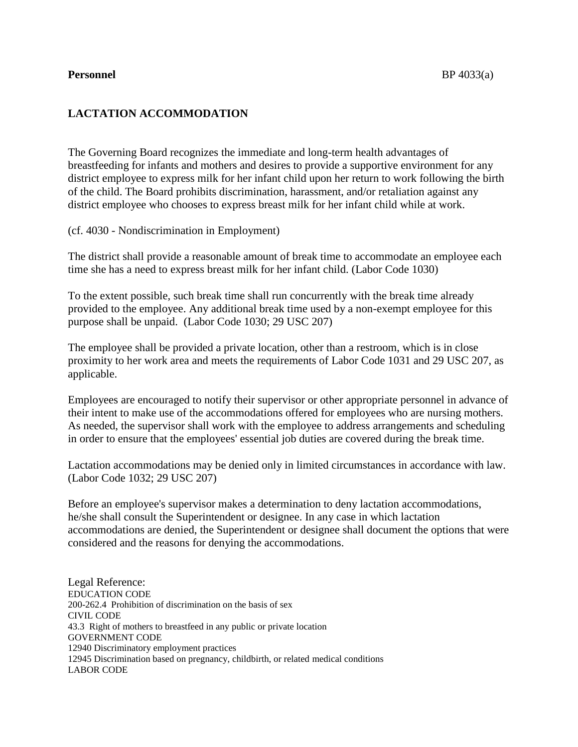## **LACTATION ACCOMMODATION**

The Governing Board recognizes the immediate and long-term health advantages of breastfeeding for infants and mothers and desires to provide a supportive environment for any district employee to express milk for her infant child upon her return to work following the birth of the child. The Board prohibits discrimination, harassment, and/or retaliation against any district employee who chooses to express breast milk for her infant child while at work.

(cf. 4030 - Nondiscrimination in Employment)

The district shall provide a reasonable amount of break time to accommodate an employee each time she has a need to express breast milk for her infant child. (Labor Code 1030)

To the extent possible, such break time shall run concurrently with the break time already provided to the employee. Any additional break time used by a non-exempt employee for this purpose shall be unpaid. (Labor Code 1030; 29 USC 207)

The employee shall be provided a private location, other than a restroom, which is in close proximity to her work area and meets the requirements of Labor Code 1031 and 29 USC 207, as applicable.

Employees are encouraged to notify their supervisor or other appropriate personnel in advance of their intent to make use of the accommodations offered for employees who are nursing mothers. As needed, the supervisor shall work with the employee to address arrangements and scheduling in order to ensure that the employees' essential job duties are covered during the break time.

Lactation accommodations may be denied only in limited circumstances in accordance with law. (Labor Code 1032; 29 USC 207)

Before an employee's supervisor makes a determination to deny lactation accommodations, he/she shall consult the Superintendent or designee. In any case in which lactation accommodations are denied, the Superintendent or designee shall document the options that were considered and the reasons for denying the accommodations.

Legal Reference: EDUCATION CODE 200-262.4 Prohibition of discrimination on the basis of sex CIVIL CODE 43.3 Right of mothers to breastfeed in any public or private location GOVERNMENT CODE 12940 Discriminatory employment practices 12945 Discrimination based on pregnancy, childbirth, or related medical conditions LABOR CODE